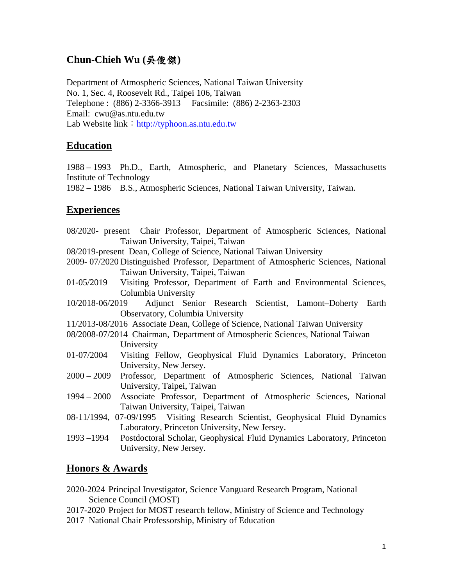# **Chun-Chieh Wu (**吳俊傑**)**

Department of Atmospheric Sciences, National Taiwan University No. 1, Sec. 4, Roosevelt Rd., Taipei 106, Taiwan Telephone : (886) 2-3366-3913 Facsimile: (886) 2-2363-2303 Email: cwu@as.ntu.edu.tw Lab Website link: [http://typhoon.as.ntu.edu.tw](http://typhoon2.as.ntu.edu.tw/)

## **Education**

1988 – 1993 Ph.D., Earth, Atmospheric, and Planetary Sciences, Massachusetts Institute of Technology

1982 – 1986 B.S., Atmospheric Sciences, National Taiwan University, Taiwan.

### **Experiences**

08/2020- present Chair Professor, Department of Atmospheric Sciences, National Taiwan University, Taipei, Taiwan

08/2019-present Dean, College of Science, National Taiwan University

- 2009- 07/2020 Distinguished Professor, Department of Atmospheric Sciences, National Taiwan University, Taipei, Taiwan
- 01-05/2019 Visiting Professor, Department of Earth and Environmental Sciences, Columbia University
- 10/2018-06/2019 Adjunct Senior Research Scientist, Lamont–Doherty Earth Observatory, Columbia University
- 11/2013-08/2016 Associate Dean, College of Science, National Taiwan University
- 08/2008-07/2014 Chairman, Department of Atmospheric Sciences, National Taiwan University
- 01-07/2004 Visiting Fellow, Geophysical Fluid Dynamics Laboratory, Princeton University, New Jersey.
- 2000 2009 Professor, Department of Atmospheric Sciences, National Taiwan University, Taipei, Taiwan
- 1994 2000 Associate Professor, Department of Atmospheric Sciences, National Taiwan University, Taipei, Taiwan
- 08-11/1994, 07-09/1995 Visiting Research Scientist, Geophysical Fluid Dynamics Laboratory, Princeton University, New Jersey.
- 1993 –1994 Postdoctoral Scholar, Geophysical Fluid Dynamics Laboratory, Princeton University, New Jersey.

### **Honors & Awards**

- 2020-2024 Principal Investigator, Science Vanguard Research Program, National Science Council (MOST)
- 2017-2020 Project for MOST research fellow, Ministry of Science and Technology
- 2017 National Chair Professorship, Ministry of Education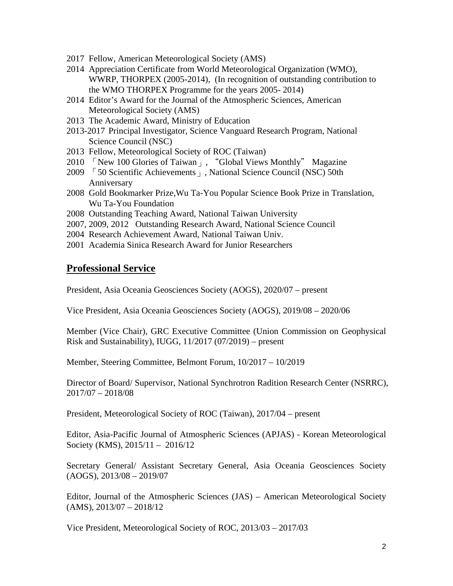- 2017 Fellow, American Meteorological Society (AMS)
- 2014 Appreciation Certificate from World Meteorological Organization (WMO), WWRP, THORPEX (2005-2014), (In recognition of outstanding contribution to the WMO THORPEX Programme for the years 2005- 2014)
- 2014 Editor's Award for the Journal of the Atmospheric Sciences, American Meteorological Society (AMS)
- 2013 The Academic Award, Ministry of Education
- 2013-2017 Principal Investigator, Science Vanguard Research Program, National Science Council (NSC)
- 2013 Fellow, Meteorological Society of ROC (Taiwan)
- 2010 「New 100 Glories of Taiwan」, "Global Views Monthly" Magazine
- 2009 「50 Scientific Achievements」, National Science Council (NSC) 50th Anniversary
- 2008 Gold Bookmarker Prize,Wu Ta-You Popular Science Book Prize in Translation, Wu Ta-You Foundation
- 2008 Outstanding Teaching Award, National Taiwan University
- 2007, 2009, 2012 Outstanding Research Award, National Science Council
- 2004 Research Achievement Award, National Taiwan Univ.
- 2001 Academia Sinica Research Award for Junior Researchers

#### **Professional Service**

President, Asia Oceania Geosciences Society (AOGS), 2020/07 – present

Vice President, Asia Oceania Geosciences Society (AOGS), 2019/08 – 2020/06

Member (Vice Chair), GRC Executive Committee (Union Commission on Geophysical Risk and Sustainability), IUGG, 11/2017 (07/2019) – present

Member, Steering Committee, Belmont Forum, 10/2017 – 10/2019

Director of Board/ Supervisor, National Synchrotron Radition Research Center (NSRRC), 2017/07 – 2018/08

President, Meteorological Society of ROC (Taiwan), 2017/04 – present

Editor, Asia-Pacific Journal of Atmospheric Sciences (APJAS) - Korean Meteorological Society (KMS), 2015/11 – 2016/12

Secretary General/ Assistant Secretary General, Asia Oceania Geosciences Society (AOGS), 2013/08 – 2019/07

Editor, Journal of the Atmospheric Sciences (JAS) – American Meteorological Society  $(AMS), 2013/07 - 2018/12$ 

Vice President, Meteorological Society of ROC, 2013/03 – 2017/03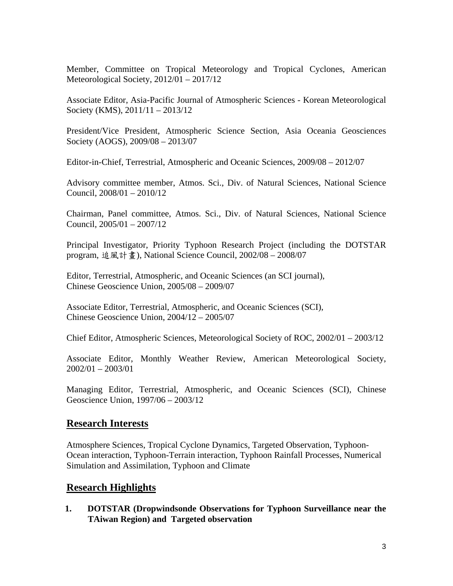Member, Committee on Tropical Meteorology and Tropical Cyclones, American Meteorological Society, 2012/01 – 2017/12

Associate Editor, Asia-Pacific Journal of Atmospheric Sciences - Korean Meteorological Society (KMS), 2011/11 – 2013/12

President/Vice President, Atmospheric Science Section, Asia Oceania Geosciences Society (AOGS), 2009/08 – 2013/07

Editor-in-Chief, Terrestrial, Atmospheric and Oceanic Sciences, 2009/08 – 2012/07

Advisory committee member, Atmos. Sci., Div. of Natural Sciences, National Science Council, 2008/01 – 2010/12

Chairman, Panel committee, Atmos. Sci., Div. of Natural Sciences, National Science Council, 2005/01 – 2007/12

Principal Investigator, Priority Typhoon Research Project (including the DOTSTAR program, 追風計畫), National Science Council, 2002/08 – 2008/07

Editor, Terrestrial, Atmospheric, and Oceanic Sciences (an SCI journal), Chinese Geoscience Union, 2005/08 – 2009/07

Associate Editor, Terrestrial, Atmospheric, and Oceanic Sciences (SCI), Chinese Geoscience Union, 2004/12 – 2005/07

Chief Editor, Atmospheric Sciences, Meteorological Society of ROC, 2002/01 – 2003/12

Associate Editor, Monthly Weather Review, American Meteorological Society, 2002/01 – 2003/01

Managing Editor, Terrestrial, Atmospheric, and Oceanic Sciences (SCI), Chinese Geoscience Union, 1997/06 – 2003/12

### **Research Interests**

Atmosphere Sciences, Tropical Cyclone Dynamics, Targeted Observation, Typhoon-Ocean interaction, Typhoon-Terrain interaction, Typhoon Rainfall Processes, Numerical Simulation and Assimilation, Typhoon and Climate

### **Research Highlights**

**1. DOTSTAR (Dropwindsonde Observations for Typhoon Surveillance near the TAiwan Region) and Targeted observation**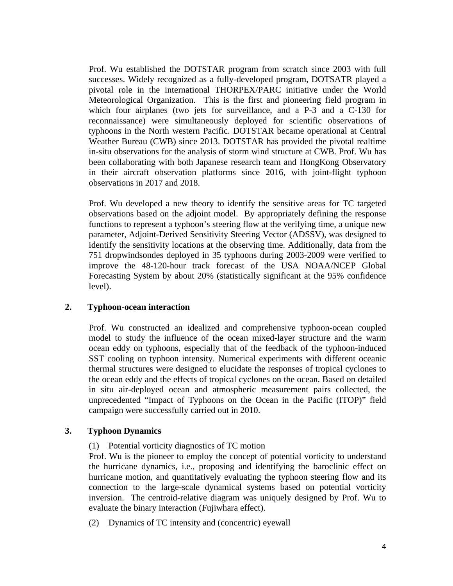Prof. Wu established the DOTSTAR program from scratch since 2003 with full successes. Widely recognized as a fully-developed program, DOTSATR played a pivotal role in the international THORPEX/PARC initiative under the World Meteorological Organization. This is the first and pioneering field program in which four airplanes (two jets for surveillance, and a P-3 and a C-130 for reconnaissance) were simultaneously deployed for scientific observations of typhoons in the North western Pacific. DOTSTAR became operational at Central Weather Bureau (CWB) since 2013. DOTSTAR has provided the pivotal realtime in-situ observations for the analysis of storm wind structure at CWB. Prof. Wu has been collaborating with both Japanese research team and HongKong Observatory in their aircraft observation platforms since 2016, with joint-flight typhoon observations in 2017 and 2018.

Prof. Wu developed a new theory to identify the sensitive areas for TC targeted observations based on the adjoint model. By appropriately defining the response functions to represent a typhoon's steering flow at the verifying time, a unique new parameter, Adjoint-Derived Sensitivity Steering Vector (ADSSV), was designed to identify the sensitivity locations at the observing time. Additionally, data from the 751 dropwindsondes deployed in 35 typhoons during 2003-2009 were verified to improve the 48-120-hour track forecast of the USA NOAA/NCEP Global Forecasting System by about 20% (statistically significant at the 95% confidence level).

#### **2. Typhoon-ocean interaction**

Prof. Wu constructed an idealized and comprehensive typhoon-ocean coupled model to study the influence of the ocean mixed-layer structure and the warm ocean eddy on typhoons, especially that of the feedback of the typhoon-induced SST cooling on typhoon intensity. Numerical experiments with different oceanic thermal structures were designed to elucidate the responses of tropical cyclones to the ocean eddy and the effects of tropical cyclones on the ocean. Based on detailed in situ air-deployed ocean and atmospheric measurement pairs collected, the unprecedented "Impact of Typhoons on the Ocean in the Pacific (ITOP)" field campaign were successfully carried out in 2010.

#### **3. Typhoon Dynamics**

(1) Potential vorticity diagnostics of TC motion

Prof. Wu is the pioneer to employ the concept of potential vorticity to understand the hurricane dynamics, i.e., proposing and identifying the baroclinic effect on hurricane motion, and quantitatively evaluating the typhoon steering flow and its connection to the large-scale dynamical systems based on potential vorticity inversion. The centroid-relative diagram was uniquely designed by Prof. Wu to evaluate the binary interaction (Fujiwhara effect).

(2) Dynamics of TC intensity and (concentric) eyewall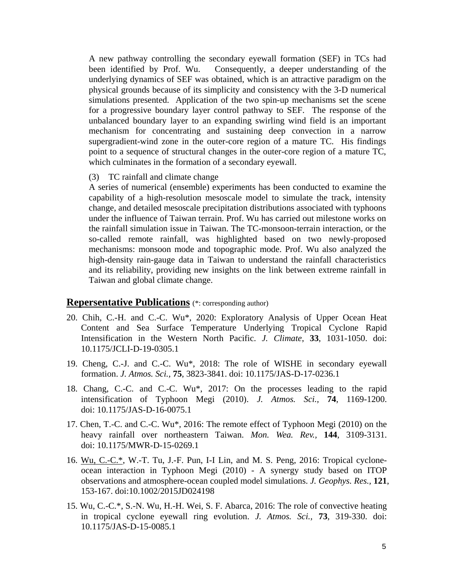A new pathway controlling the secondary eyewall formation (SEF) in TCs had been identified by Prof. Wu. Consequently, a deeper understanding of the underlying dynamics of SEF was obtained, which is an attractive paradigm on the physical grounds because of its simplicity and consistency with the 3-D numerical simulations presented. Application of the two spin-up mechanisms set the scene for a progressive boundary layer control pathway to SEF. The response of the unbalanced boundary layer to an expanding swirling wind field is an important mechanism for concentrating and sustaining deep convection in a narrow supergradient-wind zone in the outer-core region of a mature TC. His findings point to a sequence of structural changes in the outer-core region of a mature TC, which culminates in the formation of a secondary eyewall.

(3) TC rainfall and climate change

A series of numerical (ensemble) experiments has been conducted to examine the capability of a high-resolution mesoscale model to simulate the track, intensity change, and detailed mesoscale precipitation distributions associated with typhoons under the influence of Taiwan terrain. Prof. Wu has carried out milestone works on the rainfall simulation issue in Taiwan. The TC-monsoon-terrain interaction, or the so-called remote rainfall, was highlighted based on two newly-proposed mechanisms: monsoon mode and topographic mode. Prof. Wu also analyzed the high-density rain-gauge data in Taiwan to understand the rainfall characteristics and its reliability, providing new insights on the link between extreme rainfall in Taiwan and global climate change.

#### **Repersentative Publications** (\*: corresponding author)

- 20. Chih, C.-H. and C.-C. Wu\*, 2020: Exploratory Analysis of Upper Ocean Heat Content and Sea Surface Temperature Underlying Tropical Cyclone Rapid Intensification in the Western North Pacific. *J. Climate*, **33**, 1031-1050. doi: 10.1175/JCLI-D-19-0305.1
- 19. Cheng, C.-J. and C.-C. Wu\*, 2018: The role of WISHE in secondary eyewall formation. *J. Atmos. Sci.,* **75**, 3823-3841. doi: 10.1175/JAS-D-17-0236.1
- 18. Chang, C.-C. and C.-C. Wu\*, 2017: On the processes leading to the rapid intensification of Typhoon Megi (2010). *J. Atmos. Sci.,* **74**, 1169-1200. doi: 10.1175/JAS-D-16-0075.1
- 17. Chen, T.-C. and C.-C. Wu\*, 2016: The remote effect of Typhoon Megi (2010) on the heavy rainfall over northeastern Taiwan. *Mon. Wea. Rev.,* **144**, 3109-3131. doi: 10.1175/MWR-D-15-0269.1
- 16. Wu, C.-C.\*, W.-T. Tu, J.-F. Pun, I-I Lin, and M. S. Peng, 2016: Tropical cycloneocean interaction in Typhoon Megi (2010) - A synergy study based on ITOP observations and atmosphere-ocean coupled model simulations. *J. Geophys. Res.,* **121**, 153-167. doi:10.1002/2015JD024198
- 15. Wu, C.-C.\*, S.-N. Wu, H.-H. Wei, S. F. Abarca, 2016: The role of convective heating in tropical cyclone eyewall ring evolution. *J. Atmos. Sci.,* **73***,* 319-330. doi: 10.1175/JAS-D-15-0085.1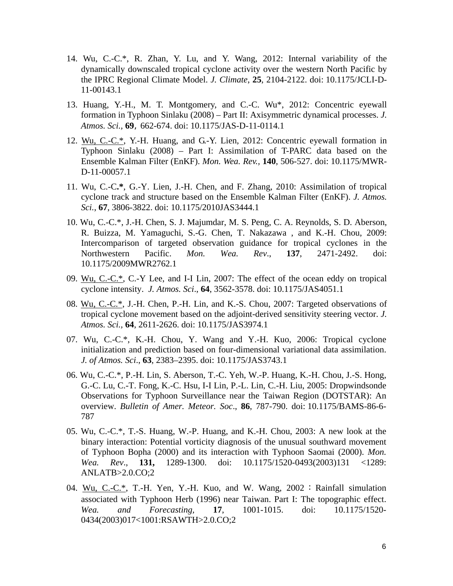- 14. Wu, C.-C.\*, R. Zhan, Y. Lu, and Y. Wang, 2012: Internal variability of the dynamically downscaled tropical cyclone activity over the western North Pacific by the IPRC Regional Climate Model. *J. Climate*, **25**, 2104-2122. doi: 10.1175/JCLI-D-11-00143.1
- 13. Huang, Y.-H., M. T. Montgomery, and C.-C. Wu\*, 2012: Concentric eyewall formation in Typhoon Sinlaku (2008) – Part II: Axisymmetric dynamical processes. *J. Atmos. Sci.,* **69**, 662-674. doi: 10.1175/JAS-D-11-0114.1
- 12. Wu, C.-C.\*, Y.-H. Huang, and G.-Y. Lien, 2012: Concentric eyewall formation in Typhoon Sinlaku (2008) – Part I: Assimilation of T-PARC data based on the Ensemble Kalman Filter (EnKF). *Mon. Wea. Rev.,* **140**, 506-527. doi: 10.1175/MWR-D-11-00057.1
- 11. Wu, C.-C**.\***, G.-Y. Lien, J.-H. Chen, and F. Zhang, 2010: Assimilation of tropical cyclone track and structure based on the Ensemble Kalman Filter (EnKF). *J. Atmos. Sci.*, **67**, 3806-3822. doi: 10.1175/2010JAS3444.1
- 10. Wu, C.-C.\*, J.-H. Chen, S. J. Majumdar, M. S. Peng, C. A. Reynolds, S. D. Aberson, R. Buizza, M. Yamaguchi, S.-G. Chen, T. Nakazawa , and K.-H. Chou, 2009: Intercomparison of targeted observation guidance for tropical cyclones in the Northwestern Pacific. *Mon. Wea. Rev*., **137**, 2471-2492. doi: 10.1175/2009MWR2762.1
- 09. Wu, C.-C.\*, C.-Y Lee, and I-I Lin, 2007: The effect of the ocean eddy on tropical cyclone intensity. *J. Atmos. Sci*., **64**, 3562-3578. doi: 10.1175/JAS4051.1
- 08. Wu, C.-C.\*, J.-H. Chen, P.-H. Lin, and K.-S. Chou, 2007: Targeted observations of tropical cyclone movement based on the adjoint-derived sensitivity steering vector. *J. Atmos. Sci.,* **64**, 2611-2626. doi: 10.1175/JAS3974.1
- 07. Wu, C.-C.\*, K.-H. Chou, Y. Wang and Y.-H. Kuo, 2006: Tropical cyclone initialization and prediction based on four-dimensional variational data assimilation. *J. of Atmos. Sci*., **63**, 2383–2395. doi: 10.1175/JAS3743.1
- 06. Wu, C.-C.\*, P.-H. Lin, S. Aberson, T.-C. Yeh, W.-P. Huang, K.-H. Chou, J.-S. Hong, G.-C. Lu, C.-T. Fong, K.-C. Hsu, I-I Lin, P.-L. Lin, C.-H. Liu, 2005: Dropwindsonde Observations for Typhoon Surveillance near the Taiwan Region (DOTSTAR): An overview. *Bulletin of Amer. Meteor. Soc*., **86**, 787-790. doi: 10.1175/BAMS-86-6- 787
- 05. Wu, C.-C.\*, T.-S. Huang, W.-P. Huang, and K.-H. Chou, 2003: A new look at the binary interaction: Potential vorticity diagnosis of the unusual southward movement of Typhoon Bopha (2000) and its interaction with Typhoon Saomai (2000). *Mon. Wea. Rev*., **131,** 1289-1300. doi: 10.1175/1520-0493(2003)131 <1289: ANLATB>2.0.CO;2
- 04. Wu, C.-C.\*, T.-H. Yen, Y.-H. Kuo, and W. Wang,  $2002$ : Rainfall simulation associated with Typhoon Herb (1996) near Taiwan. Part I: The topographic effect. *Wea. and Forecasting,* **17**, 1001-1015. doi: 10.1175/1520- 0434(2003)017<1001:RSAWTH>2.0.CO;2